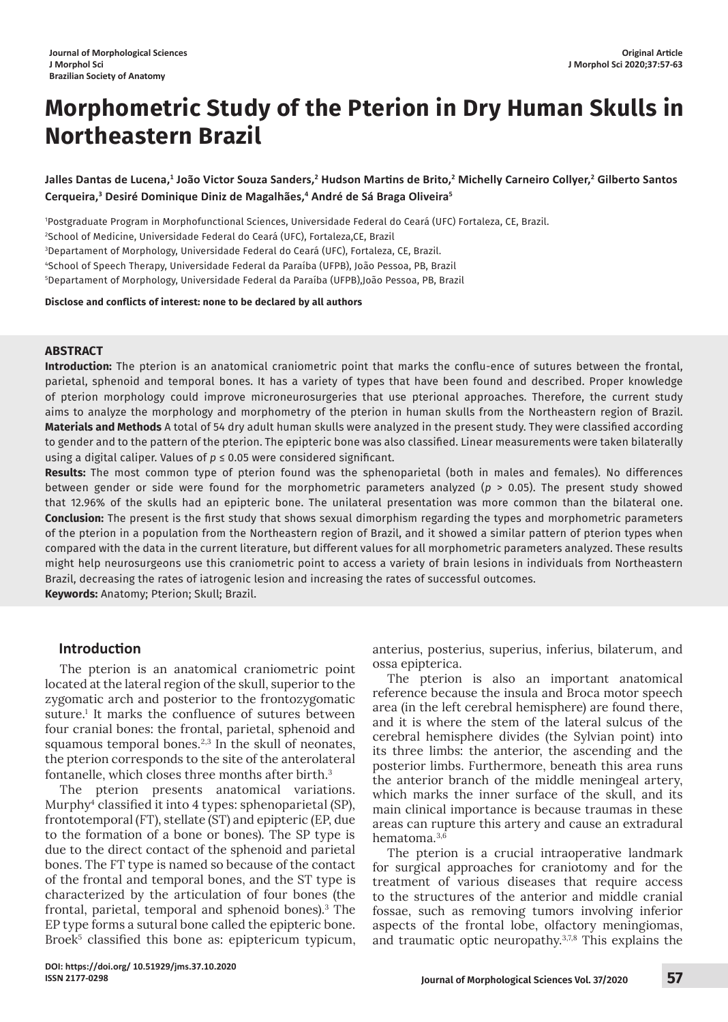# **Morphometric Study of the Pterion in Dry Human Skulls in Northeastern Brazil**

**Jalles Dantas de Lucena,1 João Victor Souza Sanders,2 Hudson Martins de Brito,<sup>2</sup> Michelly Carneiro Collyer,2 Gilberto Santos Cerqueira,3 Desiré Dominique Diniz de Magalhães,4 André de Sá Braga Oliveira5**

1 Postgraduate Program in Morphofunctional Sciences, Universidade Federal do Ceará (UFC) Fortaleza, CE, Brazil.

2 School of Medicine, Universidade Federal do Ceará (UFC), Fortaleza,CE, Brazil

3 Departament of Morphology, Universidade Federal do Ceará (UFC), Fortaleza, CE, Brazil.

4 School of Speech Therapy, Universidade Federal da Paraíba (UFPB), João Pessoa, PB, Brazil

5 Departament of Morphology, Universidade Federal da Paraíba (UFPB),João Pessoa, PB, Brazil

**Disclose and conflicts of interest: none to be declared by all authors**

#### **ABSTRACT**

**Introduction:** The pterion is an anatomical craniometric point that marks the conflu-ence of sutures between the frontal, parietal, sphenoid and temporal bones. It has a variety of types that have been found and described. Proper knowledge of pterion morphology could improve microneurosurgeries that use pterional approaches. Therefore, the current study aims to analyze the morphology and morphometry of the pterion in human skulls from the Northeastern region of Brazil. **Materials and Methods** A total of 54 dry adult human skulls were analyzed in the present study. They were classified according to gender and to the pattern of the pterion. The epipteric bone was also classified. Linear measurements were taken bilaterally using a digital caliper. Values of *p* ≤ 0.05 were considered significant.

**Results:** The most common type of pterion found was the sphenoparietal (both in males and females). No differences between gender or side were found for the morphometric parameters analyzed (*p* > 0.05). The present study showed that 12.96% of the skulls had an epipteric bone. The unilateral presentation was more common than the bilateral one. **Conclusion:** The present is the first study that shows sexual dimorphism regarding the types and morphometric parameters of the pterion in a population from the Northeastern region of Brazil, and it showed a similar pattern of pterion types when compared with the data in the current literature, but different values for all morphometric parameters analyzed. These results might help neurosurgeons use this craniometric point to access a variety of brain lesions in individuals from Northeastern Brazil, decreasing the rates of iatrogenic lesion and increasing the rates of successful outcomes.

**Keywords:** Anatomy; Pterion; Skull; Brazil.

# **Introduction**

The pterion is an anatomical craniometric point located at the lateral region of the skull, superior to the zygomatic arch and posterior to the frontozygomatic suture.<sup>1</sup> It marks the confluence of sutures between four cranial bones: the frontal, parietal, sphenoid and squamous temporal bones. $2,3$  In the skull of neonates, the pterion corresponds to the site of the anterolateral fontanelle, which closes three months after birth.<sup>3</sup>

The pterion presents anatomical variations. Murphy<sup>4</sup> classified it into 4 types: sphenoparietal (SP), frontotemporal (FT), stellate (ST) and epipteric (EP, due to the formation of a bone or bones). The SP type is due to the direct contact of the sphenoid and parietal bones. The FT type is named so because of the contact of the frontal and temporal bones, and the ST type is characterized by the articulation of four bones (the frontal, parietal, temporal and sphenoid bones).<sup>3</sup> The EP type forms a sutural bone called the epipteric bone. Broek<sup>5</sup> classified this bone as: epiptericum typicum,

anterius, posterius, superius, inferius, bilaterum, and ossa epipterica.

The pterion is also an important anatomical reference because the insula and Broca motor speech area (in the left cerebral hemisphere) are found there, and it is where the stem of the lateral sulcus of the cerebral hemisphere divides (the Sylvian point) into its three limbs: the anterior, the ascending and the posterior limbs. Furthermore, beneath this area runs the anterior branch of the middle meningeal artery, which marks the inner surface of the skull, and its main clinical importance is because traumas in these areas can rupture this artery and cause an extradural hematoma.3,6

The pterion is a crucial intraoperative landmark for surgical approaches for craniotomy and for the treatment of various diseases that require access to the structures of the anterior and middle cranial fossae, such as removing tumors involving inferior aspects of the frontal lobe, olfactory meningiomas, and traumatic optic neuropathy.3,7,8 This explains the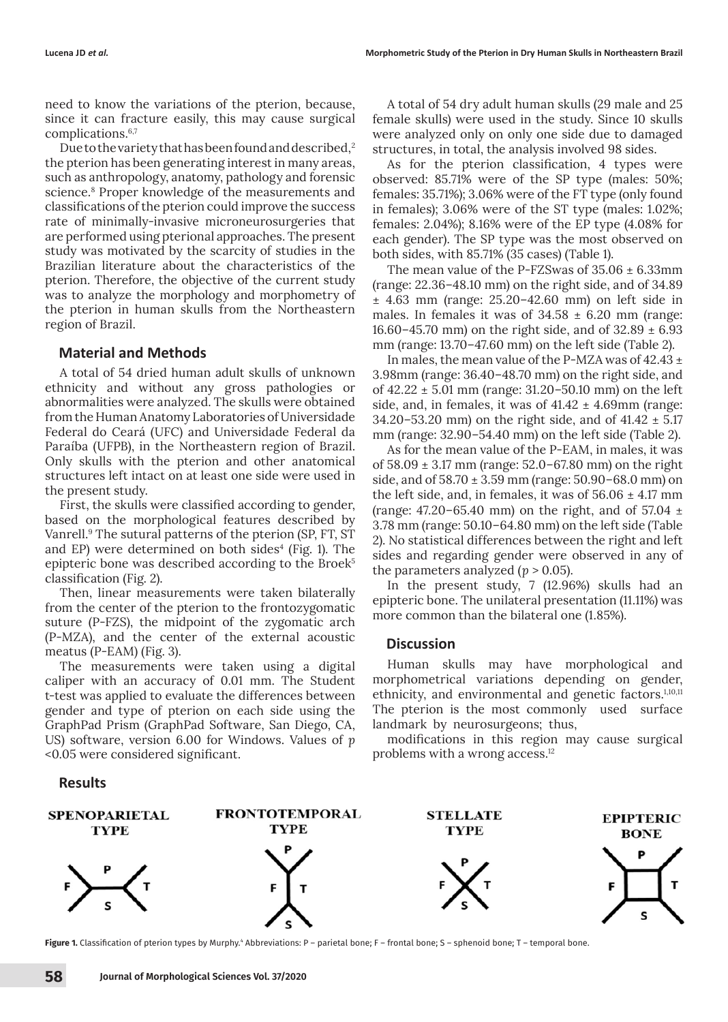need to know the variations of the pterion, because, since it can fracture easily, this may cause surgical complications.6,7

Due to the variety that has been found and described,<sup>2</sup> the pterion has been generating interest in many areas, such as anthropology, anatomy, pathology and forensic science.8 Proper knowledge of the measurements and classifications of the pterion could improve the success rate of minimally-invasive microneurosurgeries that are performed using pterional approaches. The present study was motivated by the scarcity of studies in the Brazilian literature about the characteristics of the pterion. Therefore, the objective of the current study was to analyze the morphology and morphometry of the pterion in human skulls from the Northeastern region of Brazil.

# **Material and Methods**

A total of 54 dried human adult skulls of unknown ethnicity and without any gross pathologies or abnormalities were analyzed. The skulls were obtained from the Human Anatomy Laboratories of Universidade Federal do Ceará (UFC) and Universidade Federal da Paraíba (UFPB), in the Northeastern region of Brazil. Only skulls with the pterion and other anatomical structures left intact on at least one side were used in the present study.

First, the skulls were classified according to gender, based on the morphological features described by Vanrell.9 The sutural patterns of the pterion (SP, FT, ST and EP) were determined on both sides $4$  (Fig. 1). The epipteric bone was described according to the Broek<sup>5</sup> classification (Fig. 2).

Then, linear measurements were taken bilaterally from the center of the pterion to the frontozygomatic suture (P-FZS), the midpoint of the zygomatic arch (P-MZA), and the center of the external acoustic meatus (P-EAM) (Fig. 3).

The measurements were taken using a digital caliper with an accuracy of 0.01 mm. The Student t-test was applied to evaluate the differences between gender and type of pterion on each side using the GraphPad Prism (GraphPad Software, San Diego, CA, US) software, version 6.00 for Windows. Values of *p* <0.05 were considered significant.

#### **Results**

A total of 54 dry adult human skulls (29 male and 25 female skulls) were used in the study. Since 10 skulls were analyzed only on only one side due to damaged structures, in total, the analysis involved 98 sides.

As for the pterion classification, 4 types were observed: 85.71% were of the SP type (males: 50%; females: 35.71%); 3.06% were of the FT type (only found in females); 3.06% were of the ST type (males: 1.02%; females: 2.04%); 8.16% were of the EP type (4.08% for each gender). The SP type was the most observed on both sides, with 85.71% (35 cases) (Table 1).

The mean value of the P-FZSwas of 35.06 ± 6.33mm (range: 22.36–48.10 mm) on the right side, and of 34.89 ± 4.63 mm (range: 25.20–42.60 mm) on left side in males. In females it was of  $34.58 \pm 6.20$  mm (range: 16.60–45.70 mm) on the right side, and of  $32.89 \pm 6.93$ mm (range: 13.70–47.60 mm) on the left side (Table 2).

In males, the mean value of the P-MZA was of 42.43 ± 3.98mm (range: 36.40–48.70 mm) on the right side, and of 42.22 ± 5.01 mm (range: 31.20–50.10 mm) on the left side, and, in females, it was of  $41.42 \pm 4.69$ mm (range: 34.20–53.20 mm) on the right side, and of  $41.42 \pm 5.17$ mm (range: 32.90–54.40 mm) on the left side (Table 2).

As for the mean value of the P-EAM, in males, it was of 58.09 ± 3.17 mm (range: 52.0–67.80 mm) on the right side, and of  $58.70 \pm 3.59$  mm (range:  $50.90 - 68.0$  mm) on the left side, and, in females, it was of  $56.06 \pm 4.17$  mm (range:  $47.20 - 65.40$  mm) on the right, and of  $57.04 \pm 10^{-10}$ 3.78 mm (range: 50.10–64.80 mm) on the left side (Table 2). No statistical differences between the right and left sides and regarding gender were observed in any of the parameters analyzed  $(p > 0.05)$ .

In the present study, 7 (12.96%) skulls had an epipteric bone. The unilateral presentation (11.11%) was more common than the bilateral one (1.85%).

## **Discussion**

Human skulls may have morphological and morphometrical variations depending on gender, ethnicity, and environmental and genetic factors.1,10,11 The pterion is the most commonly used surface landmark by neurosurgeons; thus,

modifications in this region may cause surgical problems with a wrong access.<sup>12</sup>



**Figure 1.** Classification of pterion types by Murphy." Abbreviations: P – parietal bone; F – frontal bone; S – sphenoid bone; T – temporal bone.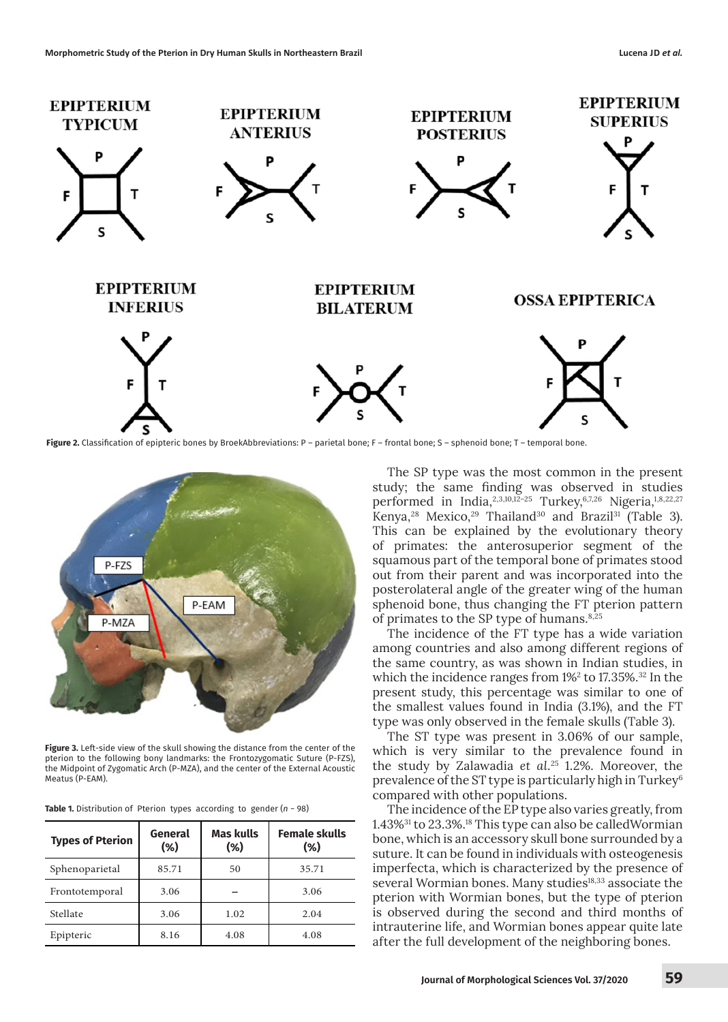

Figure 2. Classification of epipteric bones by BroekAbbreviations: P – parietal bone; F – frontal bone; S – sphenoid bone; T – temporal bone.



**Figure 3.** Left-side view of the skull showing the distance from the center of the pterion to the following bony landmarks: the Frontozygomatic Suture (P-FZS), the Midpoint of Zygomatic Arch (P-MZA), and the center of the External Acoustic Meatus (P-EAM).

| <b>Table 1.</b> Distribution of Pterion types according to gender $(n - 98)$ |  |  |  |  |  |  |  |
|------------------------------------------------------------------------------|--|--|--|--|--|--|--|
|------------------------------------------------------------------------------|--|--|--|--|--|--|--|

| <b>Types of Pterion</b> | General<br>(%) | <b>Mas kulls</b><br>(%) | <b>Female skulls</b><br>(%) |
|-------------------------|----------------|-------------------------|-----------------------------|
| Sphenoparietal          | 85.71          | 50                      | 35.71                       |
| Frontotemporal          | 3.06           |                         | 3.06                        |
| Stellate                | 3.06           | 1.02                    | 2.04                        |
| Epipteric               | 8.16           | 4.08                    | 4.08                        |

The SP type was the most common in the present study; the same finding was observed in studies performed in India,<sup>2,3,10,12-25</sup> Turkey,<sup>6,7,26</sup> Nigeria,<sup>1,8,22,27</sup> Kenya,<sup>28</sup> Mexico,<sup>29</sup> Thailand<sup>30</sup> and Brazil<sup>31</sup> (Table 3). This can be explained by the evolutionary theory of primates: the anterosuperior segment of the squamous part of the temporal bone of primates stood out from their parent and was incorporated into the posterolateral angle of the greater wing of the human sphenoid bone, thus changing the FT pterion pattern of primates to the SP type of humans.<sup>8,25</sup>

The incidence of the FT type has a wide variation among countries and also among different regions of the same country, as was shown in Indian studies, in which the incidence ranges from  $1\frac{1}{2}$  to 17.35%.<sup>32</sup> In the present study, this percentage was similar to one of the smallest values found in India (3.1%), and the FT type was only observed in the female skulls (Table 3).

The ST type was present in 3.06% of our sample, which is very similar to the prevalence found in the study by Zalawadia *et al*. <sup>25</sup> 1.2%. Moreover, the prevalence of the ST type is particularly high in Turkey<sup>6</sup> compared with other populations.

The incidence of the EP type also varies greatly, from 1.43%<sup>31</sup> to 23.3%.<sup>18</sup> This type can also be calledWormian bone, which is an accessory skull bone surrounded by a suture. It can be found in individuals with osteogenesis imperfecta, which is characterized by the presence of several Wormian bones. Many studies<sup>18,33</sup> associate the pterion with Wormian bones, but the type of pterion is observed during the second and third months of intrauterine life, and Wormian bones appear quite late after the full development of the neighboring bones.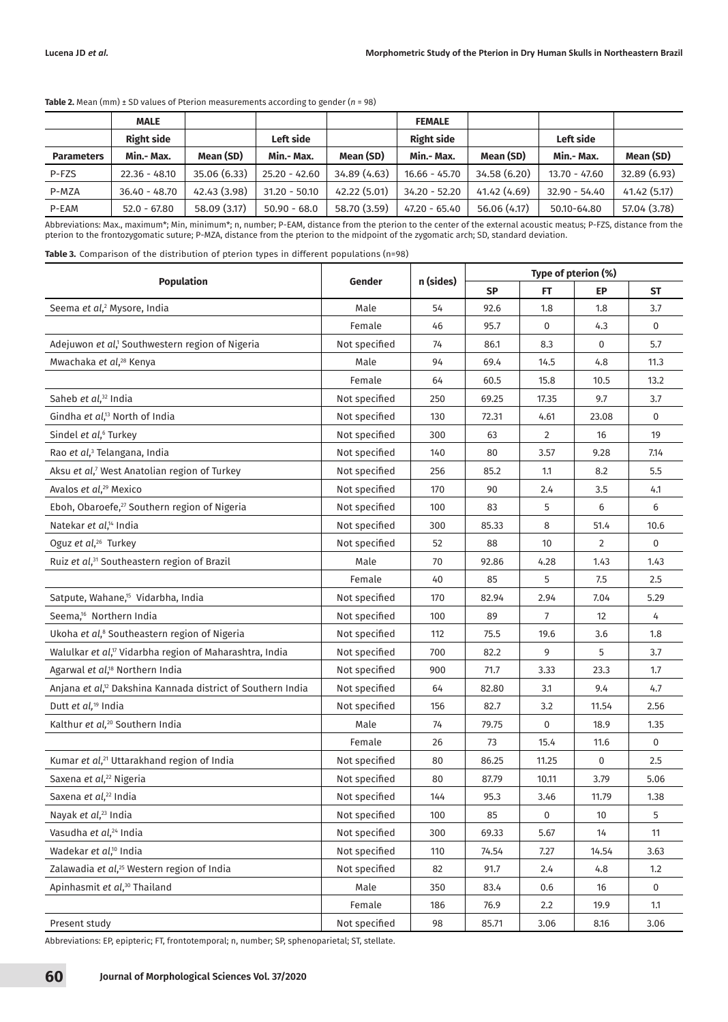|                   | <b>MALE</b>       |              |                 |              | <b>FEMALE</b>     |              |                 |              |
|-------------------|-------------------|--------------|-----------------|--------------|-------------------|--------------|-----------------|--------------|
|                   | <b>Right side</b> |              | Left side       |              | <b>Right side</b> |              | Left side       |              |
| <b>Parameters</b> | Min.- Max.        | Mean (SD)    | Min.- Max.      | Mean (SD)    | Min.- Max.        | Mean (SD)    | Min.- Max.      | Mean (SD)    |
| P-FZS             | $22.36 - 48.10$   | 35.06 (6.33) | $25.20 - 42.60$ | 34.89 (4.63) | $16.66 - 45.70$   | 34.58 (6.20) | $13.70 - 47.60$ | 32.89 (6.93) |
| P-MZA             | $36.40 - 48.70$   | 42.43 (3.98) | $31.20 - 50.10$ | 42.22 (5.01) | $34.20 - 52.20$   | 41.42(4.69)  | $32.90 - 54.40$ | 41.42(5.17)  |
| P-EAM             | $52.0 - 67.80$    | 58.09 (3.17) | $50.90 - 68.0$  | 58.70 (3.59) | $47.20 - 65.40$   | 56.06 (4.17) | 50.10-64.80     | 57.04 (3.78) |

**Table 2.** Mean (mm) ± SD values of Pterion measurements according to gender (*n* = 98)

Abbreviations: Max., maximum\*; Min, minimum\*; n, number; P-EAM, distance from the pterion to the center of the external acoustic meatus; P-FZS, distance from the pterion to the frontozygomatic suture; P-MZA, distance from the pterion to the midpoint of the zygomatic arch; SD, standard deviation.

**Table 3.** Comparison of the distribution of pterion types in different populations (n=98)

|                                                                         | Gender        | n (sides) | Type of pterion (%) |                |                |             |
|-------------------------------------------------------------------------|---------------|-----------|---------------------|----------------|----------------|-------------|
| <b>Population</b>                                                       |               |           | <b>SP</b>           | FT             | EP             | ST          |
| Seema et al, <sup>2</sup> Mysore, India                                 | Male          | 54        | 92.6                | 1.8            | 1.8            | 3.7         |
|                                                                         | Female        | 46        | 95.7                | 0              | 4.3            | 0           |
| Adejuwon et al, <sup>1</sup> Southwestern region of Nigeria             | Not specified | 74        | 86.1                | 8.3            | 0              | 5.7         |
| Mwachaka et al, <sup>28</sup> Kenya                                     | Male          | 94        | 69.4                | 14.5           | 4.8            | 11.3        |
|                                                                         | Female        | 64        | 60.5                | 15.8           | 10.5           | 13.2        |
| Saheb et al, <sup>32</sup> India                                        | Not specified | 250       | 69.25               | 17.35          | 9.7            | 3.7         |
| Gindha et al, <sup>13</sup> North of India                              | Not specified | 130       | 72.31               | 4.61           | 23.08          | 0           |
| Sindel et al, <sup>6</sup> Turkey                                       | Not specified | 300       | 63                  | 2              | 16             | 19          |
| Rao et al, <sup>3</sup> Telangana, India                                | Not specified | 140       | 80                  | 3.57           | 9.28           | 7.14        |
| Aksu et al, <sup>7</sup> West Anatolian region of Turkey                | Not specified | 256       | 85.2                | 1.1            | 8.2            | 5.5         |
| Avalos et al, <sup>29</sup> Mexico                                      | Not specified | 170       | 90                  | 2.4            | 3.5            | 4.1         |
| Eboh, Obaroefe, <sup>27</sup> Southern region of Nigeria                | Not specified | 100       | 83                  | 5              | 6              | 6           |
| Natekar et al, <sup>14</sup> India                                      | Not specified | 300       | 85.33               | 8              | 51.4           | 10.6        |
| Oguz et al, <sup>26</sup> Turkey                                        | Not specified | 52        | 88                  | 10             | $\overline{2}$ | $\mathbf 0$ |
| Ruiz et al, <sup>31</sup> Southeastern region of Brazil                 | Male          | 70        | 92.86               | 4.28           | 1.43           | 1.43        |
|                                                                         | Female        | 40        | 85                  | 5              | 7.5            | 2.5         |
| Satpute, Wahane, <sup>15</sup> Vidarbha, India                          | Not specified | 170       | 82.94               | 2.94           | 7.04           | 5.29        |
| Seema, <sup>16</sup> Northern India                                     | Not specified | 100       | 89                  | $\overline{7}$ | 12             | 4           |
| Ukoha et al, <sup>8</sup> Southeastern region of Nigeria                | Not specified | 112       | 75.5                | 19.6           | 3.6            | 1.8         |
| Walulkar et al, <sup>17</sup> Vidarbha region of Maharashtra, India     | Not specified | 700       | 82.2                | 9              | 5              | 3.7         |
| Agarwal et al, <sup>18</sup> Northern India                             | Not specified | 900       | 71.7                | 3.33           | 23.3           | 1.7         |
| Anjana et al, <sup>12</sup> Dakshina Kannada district of Southern India | Not specified | 64        | 82.80               | 3.1            | 9.4            | 4.7         |
| Dutt et al, <sup>19</sup> India                                         | Not specified | 156       | 82.7                | 3.2            | 11.54          | 2.56        |
| Kalthur et al, <sup>20</sup> Southern India                             | Male          | 74        | 79.75               | $\mathbf 0$    | 18.9           | 1.35        |
|                                                                         | Female        | 26        | 73                  | 15.4           | 11.6           | $\mathbf 0$ |
| Kumar et al, <sup>21</sup> Uttarakhand region of India                  | Not specified | 80        | 86.25               | 11.25          | 0              | 2.5         |
| Saxena et al, <sup>22</sup> Nigeria                                     | Not specified | 80        | 87.79               | 10.11          | 3.79           | 5.06        |
| Saxena et al, <sup>22</sup> India                                       | Not specified | 144       | 95.3                | 3.46           | 11.79          | 1.38        |
| Nayak et al, <sup>23</sup> India                                        | Not specified | 100       | 85                  | $\mathbf 0$    | 10             | 5           |
| Vasudha et al, <sup>24</sup> India                                      | Not specified | 300       | 69.33               | 5.67           | 14             | 11          |
| Wadekar et al, <sup>10</sup> India                                      | Not specified | 110       | 74.54               | 7.27           | 14.54          | 3.63        |
| Zalawadia et al, <sup>25</sup> Western region of India                  | Not specified | 82        | 91.7                | 2.4            | 4.8            | $1.2\,$     |
| Apinhasmit et al, <sup>30</sup> Thailand                                | Male          | 350       | 83.4                | 0.6            | 16             | $\mathbf 0$ |
|                                                                         | Female        | 186       | 76.9                | 2.2            | 19.9           | 1.1         |
| Present study                                                           | Not specified | 98        | 85.71               | 3.06           | 8.16           | 3.06        |

Abbreviations: EP, epipteric; FT, frontotemporal; n, number; SP, sphenoparietal; ST, stellate.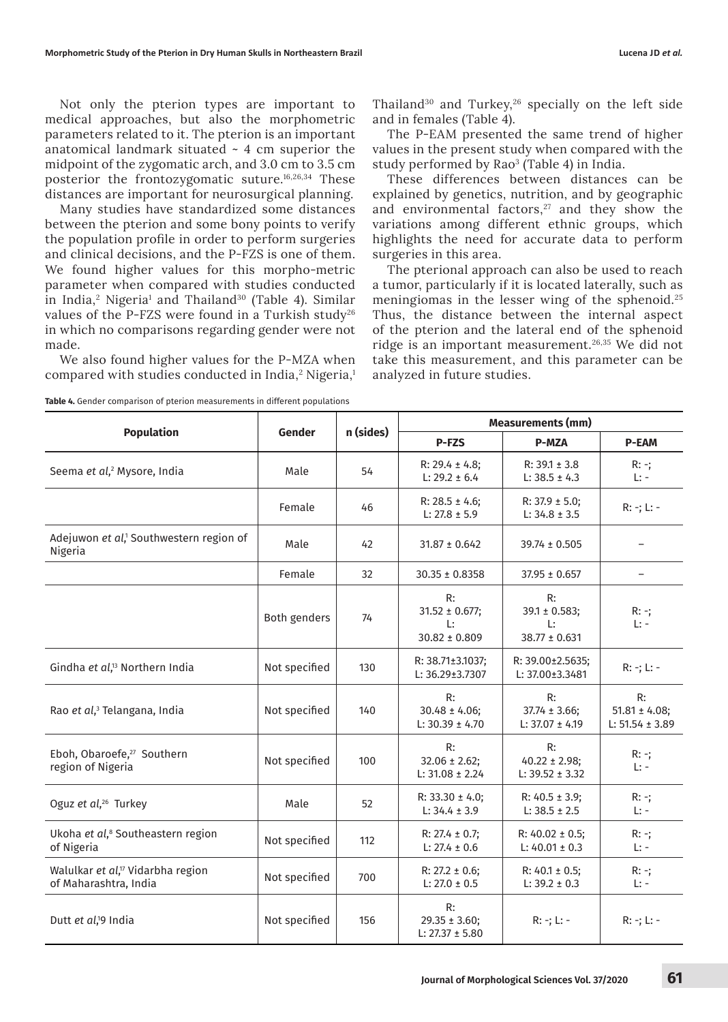Not only the pterion types are important to medical approaches, but also the morphometric parameters related to it. The pterion is an important anatomical landmark situated  $\sim$  4 cm superior the midpoint of the zygomatic arch, and 3.0 cm to 3.5 cm posterior the frontozygomatic suture.16,26,34 These distances are important for neurosurgical planning.

Many studies have standardized some distances between the pterion and some bony points to verify the population profile in order to perform surgeries and clinical decisions, and the P-FZS is one of them. We found higher values for this morpho-metric parameter when compared with studies conducted in India,<sup>2</sup> Nigeria<sup>1</sup> and Thailand<sup>30</sup> (Table 4). Similar values of the P-FZS were found in a Turkish study<sup>26</sup> in which no comparisons regarding gender were not made.

We also found higher values for the P-MZA when compared with studies conducted in India, $^{\rm 2}$  Nigeria, $^{\rm 1}$ 

Thailand<sup>30</sup> and Turkey,<sup>26</sup> specially on the left side and in females (Table 4).

The P-EAM presented the same trend of higher values in the present study when compared with the study performed by Rao<sup>3</sup> (Table 4) in India.

These differences between distances can be explained by genetics, nutrition, and by geographic and environmental factors, $27$  and they show the variations among different ethnic groups, which highlights the need for accurate data to perform surgeries in this area.

The pterional approach can also be used to reach a tumor, particularly if it is located laterally, such as meningiomas in the lesser wing of the sphenoid.<sup>25</sup> Thus, the distance between the internal aspect of the pterion and the lateral end of the sphenoid ridge is an important measurement.26,35 We did not take this measurement, and this parameter can be analyzed in future studies.

|                                                                        | Gender        | n (sides) | <b>Measurements (mm)</b>                                         |                                                    |                                                 |  |
|------------------------------------------------------------------------|---------------|-----------|------------------------------------------------------------------|----------------------------------------------------|-------------------------------------------------|--|
| <b>Population</b>                                                      |               |           | <b>P-FZS</b>                                                     | <b>P-MZA</b>                                       | <b>P-EAM</b>                                    |  |
| Seema et al, <sup>2</sup> Mysore, India                                | Male          | 54        | $R: 29.4 \pm 4.8;$<br>L: $29.2 \pm 6.4$                          | $R: 39.1 \pm 3.8$<br>L: $38.5 \pm 4.3$             | $R: -;$<br>$L: -$                               |  |
|                                                                        | Female        | 46        | $R: 28.5 \pm 4.6;$<br>L: $27.8 \pm 5.9$                          | $R: 37.9 \pm 5.0;$<br>L: $34.8 \pm 3.5$            | $R: -; L: -$                                    |  |
| Adejuwon et al, <sup>1</sup> Southwestern region of<br>Nigeria         | Male          | 42        | $31.87 \pm 0.642$                                                | $39.74 \pm 0.505$                                  |                                                 |  |
|                                                                        | Female        | 32        | $30.35 \pm 0.8358$                                               | $37.95 \pm 0.657$                                  | $\overline{\phantom{a}}$                        |  |
|                                                                        | Both genders  | 74        | R:<br>$31.52 \pm 0.677$ ;<br>$\mathsf{L}$ :<br>$30.82 \pm 0.809$ | R:<br>$39.1 \pm 0.583;$<br>L:<br>$38.77 \pm 0.631$ | $R: -;$<br>$L: -$                               |  |
| Gindha et al, <sup>13</sup> Northern India                             | Not specified | 130       | R: 38.71±3.1037;<br>L: 36.29±3.7307                              | R: 39.00±2.5635;<br>L: 37.00±3.3481                | $R: -; L: -$                                    |  |
| Rao et al, <sup>3</sup> Telangana, India                               | Not specified | 140       | R:<br>$30.48 \pm 4.06$ ;<br>L: $30.39 \pm 4.70$                  | R:<br>$37.74 \pm 3.66$ ;<br>L: $37.07 \pm 4.19$    | R:<br>$51.81 \pm 4.08$ ;<br>$L: 51.54 \pm 3.89$ |  |
| Eboh, Obaroefe, <sup>27</sup> Southern<br>region of Nigeria            | Not specified | 100       | R:<br>$32.06 \pm 2.62$ ;<br>$L: 31.08 \pm 2.24$                  | R:<br>$40.22 \pm 2.98$ ;<br>$L: 39.52 \pm 3.32$    | $R: -;$<br>$L: -$                               |  |
| Oguz et al, <sup>26</sup> Turkey                                       | Male          | 52        | $R: 33.30 \pm 4.0;$<br>$L: 34.4 \pm 3.9$                         | $R: 40.5 \pm 3.9;$<br>$L: 38.5 \pm 2.5$            | $R: -;$<br>$L: -$                               |  |
| Ukoha et al, <sup>8</sup> Southeastern region<br>of Nigeria            | Not specified | 112       | $R: 27.4 \pm 0.7;$<br>$L: 27.4 \pm 0.6$                          | R: $40.02 \pm 0.5$ ;<br>L: $40.01 \pm 0.3$         | $R: -;$<br>$L: -$                               |  |
| Walulkar et al, <sup>17</sup> Vidarbha region<br>of Maharashtra, India | Not specified | 700       | $R: 27.2 \pm 0.6;$<br>L: $27.0 \pm 0.5$                          | $R: 40.1 \pm 0.5;$<br>L: $39.2 \pm 0.3$            | $R: -;$<br>$L: -$                               |  |
| Dutt et al, <sup>19</sup> India                                        | Not specified | 156       | R:<br>$29.35 \pm 3.60$ ;<br>$R: -; L: -$<br>L: $27.37 \pm 5.80$  |                                                    | $R: -; L: -$                                    |  |

**Table 4.** Gender comparison of pterion measurements in different populations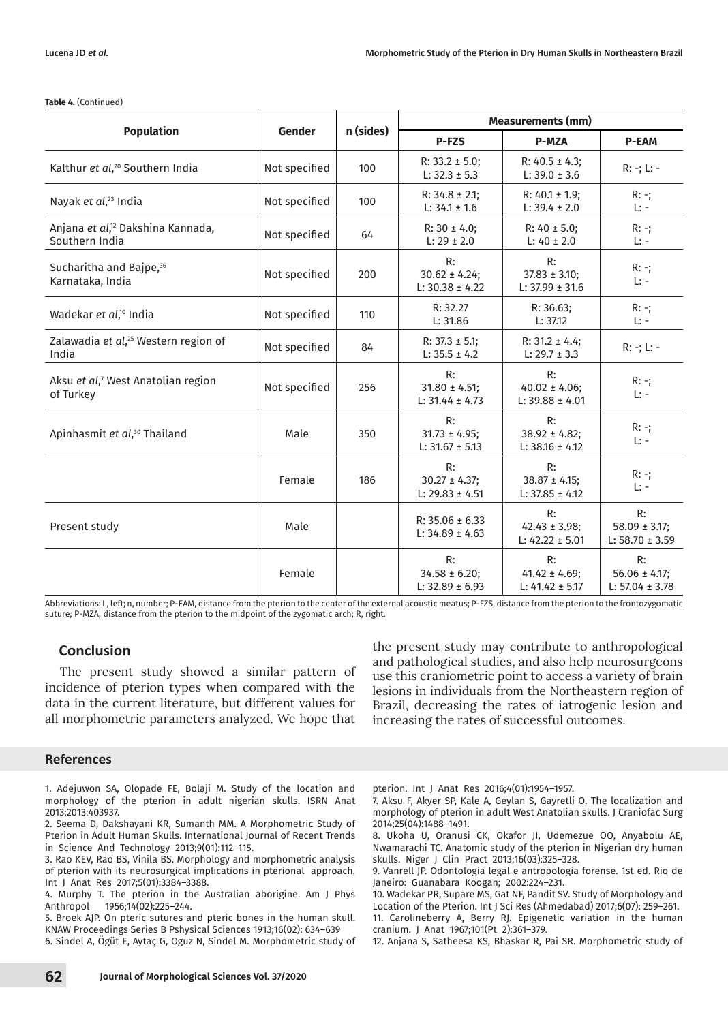|  | Table 4. (Continued) |
|--|----------------------|
|--|----------------------|

|                                                                 | Gender        |           | <b>Measurements (mm)</b>                        |                                                 |                                                 |  |  |
|-----------------------------------------------------------------|---------------|-----------|-------------------------------------------------|-------------------------------------------------|-------------------------------------------------|--|--|
| <b>Population</b>                                               |               | n (sides) | P-FZS                                           | <b>P-MZA</b>                                    | <b>P-EAM</b>                                    |  |  |
| Kalthur et al, <sup>20</sup> Southern India                     | Not specified | 100       | $R: 33.2 \pm 5.0;$<br>$L: 32.3 \pm 5.3$         | $R: 40.5 \pm 4.3;$<br>$L: 39.0 \pm 3.6$         | $R: -; L: -$                                    |  |  |
| Nayak et al, <sup>23</sup> India                                | Not specified | 100       | $R: 34.8 \pm 2.1$ ;<br>$L: 34.1 \pm 1.6$        | $R: 40.1 \pm 1.9;$<br>$L: 39.4 \pm 2.0$         | $R: -;$<br>L:                                   |  |  |
| Anjana et al, <sup>12</sup> Dakshina Kannada,<br>Southern India | Not specified | 64        | $R: 30 \pm 4.0$<br>$L: 29 \pm 2.0$              | $R: 40 \pm 5.0$ ;<br>$L: 40 \pm 2.0$            | $R: -;$<br>$L: -$                               |  |  |
| Sucharitha and Bajpe, <sup>36</sup><br>Karnataka, India         | Not specified | 200       | R:<br>$30.62 \pm 4.24;$<br>$L: 30.38 \pm 4.22$  | R:<br>$37.83 \pm 3.10$ ;<br>$L: 37.99 \pm 31.6$ | $R: -;$<br>$L: -$                               |  |  |
| Wadekar et al, <sup>10</sup> India                              | Not specified | 110       | R: 32.27<br>L: 31.86                            | R: 36.63;<br>L: 37.12                           | $R: -;$<br>$L: -$                               |  |  |
| Zalawadia et al, <sup>25</sup> Western region of<br>India       | Not specified | 84        | R: $37.3 \pm 5.1$ ;<br>$L: 35.5 \pm 4.2$        | $R: 31.2 \pm 4.4;$<br>$L: 29.7 \pm 3.3$         | $R: -; L: -$                                    |  |  |
| Aksu et al, <sup>7</sup> West Anatolian region<br>of Turkey     | Not specified | 256       | R:<br>$31.80 \pm 4.51$ ;<br>$L: 31.44 \pm 4.73$ | R:<br>$40.02 \pm 4.06$ ;<br>$L: 39.88 \pm 4.01$ | $R: -;$<br>$L: -$                               |  |  |
| Apinhasmit et al, <sup>30</sup> Thailand                        | Male          | 350       | R:<br>$31.73 \pm 4.95$ ;<br>L: $31.67 \pm 5.13$ | R:<br>$38.92 \pm 4.82$ ;<br>$L: 38.16 \pm 4.12$ | $R: -;$<br>$L: -$                               |  |  |
|                                                                 | Female        | 186       | R:<br>$30.27 \pm 4.37$ ;<br>L: $29.83 \pm 4.51$ | R:<br>$38.87 \pm 4.15$ ;<br>$L: 37.85 \pm 4.12$ | $R: -;$<br>$L: -$                               |  |  |
| Present study                                                   | Male          |           | $R: 35.06 \pm 6.33$<br>$L: 34.89 \pm 4.63$      | R:<br>$42.43 \pm 3.98$ ;<br>L: $42.22 \pm 5.01$ | R:<br>$58.09 \pm 3.17$ ;<br>L: $58.70 \pm 3.59$ |  |  |
|                                                                 | Female        |           | R:<br>$34.58 \pm 6.20$ ;<br>$L: 32.89 \pm 6.93$ | R:<br>$41.42 \pm 4.69$ ;<br>L: $41.42 \pm 5.17$ | R:<br>$56.06 \pm 4.17$ ;<br>$L: 57.04 \pm 3.78$ |  |  |

Abbreviations: L, left; n, number; P-EAM, distance from the pterion to the center of the external acoustic meatus; P-FZS, distance from the pterion to the frontozygomatic suture; P-MZA, distance from the pterion to the midpoint of the zygomatic arch; R, right.

### **Conclusion**

The present study showed a similar pattern of incidence of pterion types when compared with the data in the current literature, but different values for all morphometric parameters analyzed. We hope that

# lesions in individuals from the Northeastern region of Brazil, decreasing the rates of iatrogenic lesion and increasing the rates of successful outcomes.

#### **References**

1. Adejuwon SA, Olopade FE, Bolaji M. Study of the location and morphology of the pterion in adult nigerian skulls. ISRN Anat 2013;2013:403937.

2. Seema D, Dakshayani KR, Sumanth MM. A Morphometric Study of Pterion in Adult Human Skulls. International Journal of Recent Trends in Science And Technology 2013;9(01):112–115.

3. Rao KEV, Rao BS, Vinila BS. Morphology and morphometric analysis of pterion with its neurosurgical implications in pterional approach. Int J Anat Res 2017;5(01):3384–3388.

4. Murphy T. The pterion in the Australian aborigine. Am J Phys 1956;14(02):225-244.

5. Broek AJP. On pteric sutures and pteric bones in the human skull. KNAW Proceedings Series B Pshysical Sciences 1913;16(02): 634–639

6. Sindel A, Ögüt E, Aytaç G, Oguz N, Sindel M. Morphometric study of

pterion. Int J Anat Res 2016;4(01):1954–1957.

7. Aksu F, Akyer SP, Kale A, Geylan S, Gayretli O. The localization and morphology of pterion in adult West Anatolian skulls. J Craniofac Surg 2014;25(04):1488–1491.

the present study may contribute to anthropological and pathological studies, and also help neurosurgeons use this craniometric point to access a variety of brain

8. Ukoha U, Oranusi CK, Okafor JI, Udemezue OO, Anyabolu AE, Nwamarachi TC. Anatomic study of the pterion in Nigerian dry human skulls. Niger J Clin Pract 2013;16(03):325–328.

9. Vanrell JP. Odontologia legal e antropologia forense. 1st ed. Rio de Janeiro: Guanabara Koogan; 2002:224–231.

10. Wadekar PR, Supare MS, Gat NF, Pandit SV. Study of Morphology and Location of the Pterion. Int J Sci Res (Ahmedabad) 2017;6(07): 259–261. 11. Carolineberry A, Berry RJ. Epigenetic variation in the human cranium. J Anat 1967;101(Pt 2):361–379.

12. Anjana S, Satheesa KS, Bhaskar R, Pai SR. Morphometric study of